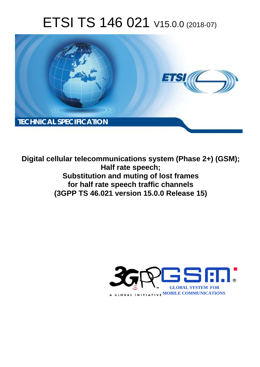# ETSI TS 146 021 V15.0.0 (2018-07)



**Digital cellular telecommunications system (Phase 2+) (GSM); Half rate speech; Substitution and muting of lost frames for half rate speech traffic channels (3GPP TS 46.021 version 15.0.0 Release 15)** 

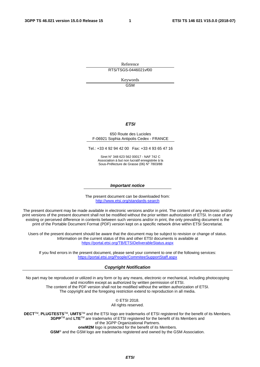Reference RTS/TSGS-0446021vf00

> Keywords GSM

#### *ETSI*

#### 650 Route des Lucioles F-06921 Sophia Antipolis Cedex - FRANCE

Tel.: +33 4 92 94 42 00 Fax: +33 4 93 65 47 16

Siret N° 348 623 562 00017 - NAF 742 C Association à but non lucratif enregistrée à la Sous-Préfecture de Grasse (06) N° 7803/88

#### *Important notice*

The present document can be downloaded from: <http://www.etsi.org/standards-search>

The present document may be made available in electronic versions and/or in print. The content of any electronic and/or print versions of the present document shall not be modified without the prior written authorization of ETSI. In case of any existing or perceived difference in contents between such versions and/or in print, the only prevailing document is the print of the Portable Document Format (PDF) version kept on a specific network drive within ETSI Secretariat.

Users of the present document should be aware that the document may be subject to revision or change of status. Information on the current status of this and other ETSI documents is available at <https://portal.etsi.org/TB/ETSIDeliverableStatus.aspx>

If you find errors in the present document, please send your comment to one of the following services: <https://portal.etsi.org/People/CommiteeSupportStaff.aspx>

#### *Copyright Notification*

No part may be reproduced or utilized in any form or by any means, electronic or mechanical, including photocopying and microfilm except as authorized by written permission of ETSI. The content of the PDF version shall not be modified without the written authorization of ETSI. The copyright and the foregoing restriction extend to reproduction in all media.

> © ETSI 2018. All rights reserved.

**DECT**TM, **PLUGTESTS**TM, **UMTS**TM and the ETSI logo are trademarks of ETSI registered for the benefit of its Members. **3GPP**TM and **LTE**TM are trademarks of ETSI registered for the benefit of its Members and of the 3GPP Organizational Partners. **oneM2M** logo is protected for the benefit of its Members.

**GSM**® and the GSM logo are trademarks registered and owned by the GSM Association.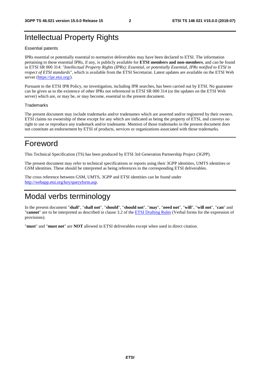# Intellectual Property Rights

#### Essential patents

IPRs essential or potentially essential to normative deliverables may have been declared to ETSI. The information pertaining to these essential IPRs, if any, is publicly available for **ETSI members and non-members**, and can be found in ETSI SR 000 314: *"Intellectual Property Rights (IPRs); Essential, or potentially Essential, IPRs notified to ETSI in respect of ETSI standards"*, which is available from the ETSI Secretariat. Latest updates are available on the ETSI Web server ([https://ipr.etsi.org/\)](https://ipr.etsi.org/).

Pursuant to the ETSI IPR Policy, no investigation, including IPR searches, has been carried out by ETSI. No guarantee can be given as to the existence of other IPRs not referenced in ETSI SR 000 314 (or the updates on the ETSI Web server) which are, or may be, or may become, essential to the present document.

#### **Trademarks**

The present document may include trademarks and/or tradenames which are asserted and/or registered by their owners. ETSI claims no ownership of these except for any which are indicated as being the property of ETSI, and conveys no right to use or reproduce any trademark and/or tradename. Mention of those trademarks in the present document does not constitute an endorsement by ETSI of products, services or organizations associated with those trademarks.

# Foreword

This Technical Specification (TS) has been produced by ETSI 3rd Generation Partnership Project (3GPP).

The present document may refer to technical specifications or reports using their 3GPP identities, UMTS identities or GSM identities. These should be interpreted as being references to the corresponding ETSI deliverables.

The cross reference between GSM, UMTS, 3GPP and ETSI identities can be found under [http://webapp.etsi.org/key/queryform.asp.](http://webapp.etsi.org/key/queryform.asp)

# Modal verbs terminology

In the present document "**shall**", "**shall not**", "**should**", "**should not**", "**may**", "**need not**", "**will**", "**will not**", "**can**" and "**cannot**" are to be interpreted as described in clause 3.2 of the [ETSI Drafting Rules](https://portal.etsi.org/Services/editHelp!/Howtostart/ETSIDraftingRules.aspx) (Verbal forms for the expression of provisions).

"**must**" and "**must not**" are **NOT** allowed in ETSI deliverables except when used in direct citation.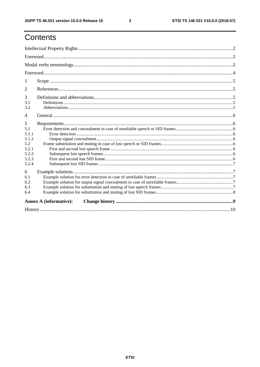# Contents

| 1                             |  |
|-------------------------------|--|
| 2                             |  |
| 3                             |  |
| 3.1<br>3.2                    |  |
| 4                             |  |
| 5                             |  |
| 5.1                           |  |
| 5.1.1                         |  |
| 5.1.2                         |  |
| 5.2<br>5.2.1                  |  |
| 5.2.2                         |  |
| 5.2.3                         |  |
| 5.2.4                         |  |
| 6                             |  |
| 6.1                           |  |
| 6.2                           |  |
| 6.3                           |  |
| 6.4                           |  |
| <b>Annex A (informative):</b> |  |
|                               |  |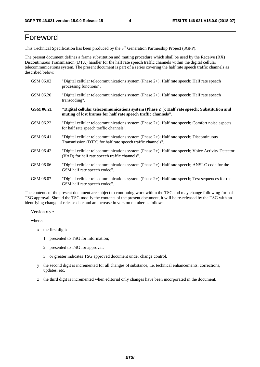# Foreword

This Technical Specification has been produced by the 3rd Generation Partnership Project (3GPP).

The present document defines a frame substitution and muting procedure which shall be used by the Receive (RX) Discontinuous Transmission (DTX) handler for the half rate speech traffic channels within the digital cellular telecommunications system. The present document is part of a series covering the half rate speech traffic channels as described below:

| GSM 06.02 | "Digital cellular telecommunications system (Phase $2+$ ); Half rate speech; Half rate speech<br>processing functions".                                     |
|-----------|-------------------------------------------------------------------------------------------------------------------------------------------------------------|
| GSM 06.20 | "Digital cellular telecommunications system (Phase 2+); Half rate speech; Half rate speech<br>transcoding".                                                 |
| GSM 06.21 | "Digital cellular telecommunications system (Phase 2+); Half rate speech; Substitution and<br>muting of lost frames for half rate speech traffic channels". |
| GSM 06.22 | "Digital cellular telecommunications system (Phase 2+); Half rate speech; Comfort noise aspects<br>for half rate speech traffic channels".                  |
| GSM 06.41 | "Digital cellular telecommunications system (Phase 2+); Half rate speech; Discontinuous<br>Transmission (DTX) for half rate speech traffic channels".       |
| GSM 06.42 | "Digital cellular telecommunications system (Phase 2+); Half rate speech; Voice Activity Detector<br>(VAD) for half rate speech traffic channels".          |
| GSM 06.06 | "Digital cellular telecommunications system (Phase $2+$ ); Half rate speech; ANSI-C code for the<br>GSM half rate speech codec".                            |
| GSM 06.07 | "Digital cellular telecommunications system (Phase 2+); Half rate speech; Test sequences for the<br>GSM half rate speech codec".                            |

The contents of the present document are subject to continuing work within the TSG and may change following formal TSG approval. Should the TSG modify the contents of the present document, it will be re-released by the TSG with an identifying change of release date and an increase in version number as follows:

Version x.y.z

where:

- x the first digit:
	- 1 presented to TSG for information;
	- 2 presented to TSG for approval;
	- 3 or greater indicates TSG approved document under change control.
- y the second digit is incremented for all changes of substance, i.e. technical enhancements, corrections, updates, etc.
- z the third digit is incremented when editorial only changes have been incorporated in the document.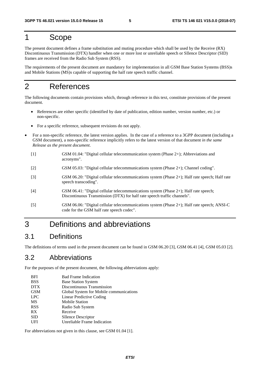# 1 Scope

The present document defines a frame substitution and muting procedure which shall be used by the Receive (RX) Discontinuous Transmission (DTX) handler when one or more lost or unreliable speech or SIlence Descriptor (SID) frames are received from the Radio Sub System (RSS).

The requirements of the present document are mandatory for implementation in all GSM Base Station Systems (BSS)s and Mobile Stations (MS)s capable of supporting the half rate speech traffic channel.

# 2 References

The following documents contain provisions which, through reference in this text, constitute provisions of the present document.

- References are either specific (identified by date of publication, edition number, version number, etc.) or non-specific.
- For a specific reference, subsequent revisions do not apply.
- For a non-specific reference, the latest version applies. In the case of a reference to a 3GPP document (including a GSM document), a non-specific reference implicitly refers to the latest version of that document *in the same Release as the present document*.
	- [1] GSM 01.04: "Digital cellular telecommunication system (Phase 2+); Abbreviations and acronyms".
	- [2] GSM 05.03: "Digital cellular telecommunications system (Phase 2+); Channel coding".
	- [3] GSM 06.20: "Digital cellular telecommunications system (Phase 2+); Half rate speech; Half rate speech transcoding".
	- [4] GSM 06.41: "Digital cellular telecommunications system (Phase 2+); Half rate speech; Discontinuous Transmission (DTX) for half rate speech traffic channels".
	- [5] GSM 06.06: "Digital cellular telecommunications system (Phase 2+); Half rate speech; ANSI-C code for the GSM half rate speech codec".

# 3 Definitions and abbreviations

#### 3.1 Definitions

The definitions of terms used in the present document can be found in GSM 06.20 [3], GSM 06.41 [4], GSM 05.03 [2].

### 3.2 Abbreviations

For the purposes of the present document, the following abbreviations apply:

| <b>BFI</b> | <b>Bad Frame Indication</b>             |
|------------|-----------------------------------------|
| <b>BSS</b> | <b>Base Station System</b>              |
| <b>DTX</b> | Discontinuous Transmission              |
| <b>GSM</b> | Global System for Mobile communications |
| <b>LPC</b> | Linear Predictive Coding                |
| MS         | <b>Mobile Station</b>                   |
| <b>RSS</b> | Radio Sub System                        |
| RX         | Receive                                 |
| <b>SID</b> | <b>SIlence Descriptor</b>               |
| UFI        | Unreliable Frame Indication             |
|            |                                         |

For abbreviations not given in this clause, see GSM 01.04 [1].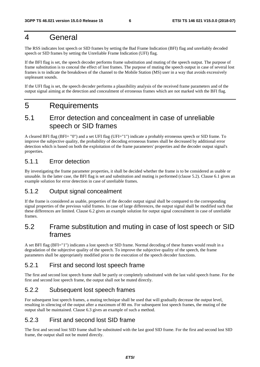# 4 General

The RSS indicates lost speech or SID frames by setting the Bad Frame Indication (BFI) flag and unreliably decoded speech or SID frames by setting the Unreliable Frame Indication (UFI) flag.

If the BFI flag is set, the speech decoder performs frame substitution and muting of the speech output. The purpose of frame substitution is to conceal the effect of lost frames. The purpose of muting the speech output in case of several lost frames is to indicate the breakdown of the channel to the Mobile Station (MS) user in a way that avoids excessively unpleasant sounds.

If the UFI flag is set, the speech decoder performs a plausibility analysis of the received frame parameters and of the output signal aiming at the detection and concealment of erroneous frames which are not marked with the BFI flag.

# 5 Requirements

## 5.1 Error detection and concealment in case of unreliable speech or SID frames

A cleared BFI flag (BFI= "0") and a set UFI flag (UFI="1") indicate a probably erroneous speech or SID frame. To improve the subjective quality, the probability of decoding erroneous frames shall be decreased by additional error detection which is based on both the exploitation of the frame parameters' properties and the decoder output signal's properties.

#### 5.1.1 Error detection

By investigating the frame parameter properties, it shall be decided whether the frame is to be considered as usable or unusable. In the latter case, the BFI flag is set and substitution and muting is performed (clause 5.2). Clause 6.1 gives an example solution for error detection in case of unreliable frames.

#### 5.1.2 Output signal concealment

If the frame is considered as usable, properties of the decoder output signal shall be compared to the corresponding signal properties of the previous valid frames. In case of large differences, the output signal shall be modified such that these differences are limited. Clause 6.2 gives an example solution for output signal concealment in case of unreliable frames.

### 5.2 Frame substitution and muting in case of lost speech or SID frames

A set BFI flag (BFI="1") indicates a lost speech or SID frame. Normal decoding of these frames would result in a degradation of the subjective quality of the speech. To improve the subjective quality of the speech, the frame parameters shall be appropriately modified prior to the execution of the speech decoder functions.

#### 5.2.1 First and second lost speech frame

The first and second lost speech frame shall be partly or completely substituted with the last valid speech frame. For the first and second lost speech frame, the output shall not be muted directly.

#### 5.2.2 Subsequent lost speech frames

For subsequent lost speech frames, a muting technique shall be used that will gradually decrease the output level, resulting in silencing of the output after a maximum of 80 ms. For subsequent lost speech frames, the muting of the output shall be maintained. Clause 6.3 gives an example of such a method.

#### 5.2.3 First and second lost SID frame

The first and second lost SID frame shall be substituted with the last good SID frame. For the first and second lost SID frame, the output shall not be muted directly.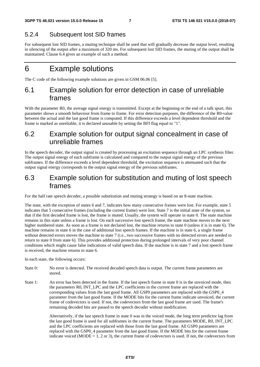### 5.2.4 Subsequent lost SID frames

For subsequent lost SID frames, a muting technique shall be used that will gradually decrease the output level, resulting in silencing of the output after a maximum of 320 ms. For subsequent lost SID frames, the muting of the output shall be maintained. Clause 6.4 gives an example of such a method.

# 6 Example solutions

The C code of the following example solutions are given in GSM 06.06 [5].

### 6.1 Example solution for error detection in case of unreliable frames

With the parameter R0, the average signal energy is transmitted. Except at the beginning or the end of a talk spurt, this parameter shows a smooth behaviour from frame to frame. For error detection purposes, the difference of the R0-value between the actual and the last good frame is computed. If this difference exceeds a level dependent threshold and the frame is marked as unreliable, it is declared unusable by setting the BFI flag equal to "1".

### 6.2 Example solution for output signal concealment in case of unreliable frames

In the speech decoder, the output signal is created by processing an excitation sequence through an LPC synthesis filter. The output signal energy of each subframe is calculated and compared to the output signal energy of the previous subframes. If the difference exceeds a level dependent threshold, the excitation sequence is attenuated such that the output signal energy corresponds to the output signal energy of the previous subframes.

## 6.3 Example solution for substitution and muting of lost speech frames

For the half rate speech decoder, a possible substitution and muting strategy is based on an 8-state machine.

The state, with the exception of states 6 and 7, indicates how many consecutive frames were lost. For example, state 5 indicates that 5 consecutive frames (including the current frame) were lost. State 7 is the initial state of the system, so that if the first decoded frame is lost, the frame is muted. Usually, the system will operate in state 0. The state machine remains in this state unless a frame is lost. On each successive lost speech frame, the state machine moves to the next higher numbered state. As soon as a frame is not declared lost, the machine returns to state 0 (unless it is in state 6). The machine remains in state 6 in the case of additional lost speech frames. If the machine is in state 6, a single frame without detected errors moves the machine to state 7 (i.e., two successive frames with no detected errors are needed to return to state 0 from state 6). This provides additional protection during prolonged intervals of very poor channel conditions which might cause false indications of valid speech data. If the machine is in state 7 and a lost speech frame is received, the machine returns to state 6.

In each state, the following occurs:

- State 0: No error is detected. The received decoded speech data is output. The current frame parameters are stored.
- State 1: An error has been detected in the frame. If the last speech frame in state 0 is in the unvoiced mode, then the parameters R0, INT\_LPC and the LPC coefficients in the current frame are replaced with the corresponding values from the last good frame. All GSP0 parameters are replaced with the GSP0\_4 parameter from the last good frame. If the MODE bits for the current frame indicate unvoiced, the current frame of codevectors is used. If not, the codevectors from the last good frame are used. The frame's remaining decoded bits are passed to the speech decoder without modification.

 Alternatively, if the last speech frame in state 0 was in the voiced mode, the long term predictor lag from the last good frame is used for all subframes in the current frame. The parameters MODE, R0, INT\_LPC and the LPC coefficients are replaced with those from the last good frame. All GSP0 parameters are replaced with the GSP0\_4 parameter from the last good frame. If the MODE bits for the current frame indicate voiced ( $MODE = 1, 2$  or 3), the current frame of codevectors is used. If not, the codevectors from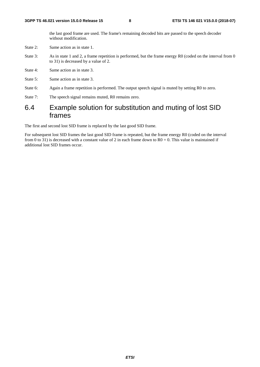the last good frame are used. The frame's remaining decoded bits are passed to the speech decoder without modification.

- State 2: Same action as in state 1.
- State 3: As in state 1 and 2, a frame repetition is performed, but the frame energy R0 (coded on the interval from 0 to 31) is decreased by a value of 2.
- State 4: Same action as in state 3.
- State 5: Same action as in state 3.
- State 6: Again a frame repetition is performed. The output speech signal is muted by setting R0 to zero.
- State 7: The speech signal remains muted, R0 remains zero.

# 6.4 Example solution for substitution and muting of lost SID frames

The first and second lost SID frame is replaced by the last good SID frame.

For subsequent lost SID frames the last good SID frame is repeated, but the frame energy R0 (coded on the interval from 0 to 31) is decreased with a constant value of 2 in each frame down to  $R0 = 0$ . This value is maintained if additional lost SID frames occur.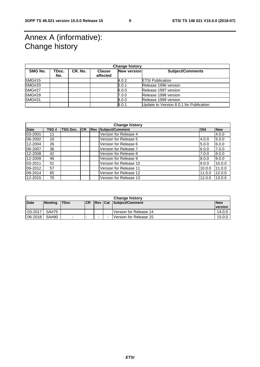# Annex A (informative): Change history

| <b>Change history</b> |              |         |                           |             |                                         |  |
|-----------------------|--------------|---------|---------------------------|-------------|-----------------------------------------|--|
| SMG No.               | TDoc.<br>No. | CR. No. | <b>Clause</b><br>affected | New version | <b>Subject/Comments</b>                 |  |
|                       |              |         |                           |             |                                         |  |
| SMG#15                |              |         |                           | 4.0.2       | <b>ETSI Publication</b>                 |  |
| SMG#20                |              |         |                           | 5.0.1       | Release 1996 version                    |  |
| <b>SMG#27</b>         |              |         |                           | 6.0.0       | Release 1997 version                    |  |
| <b>SMG#29</b>         |              |         |                           | 7.0.0       | Release 1998 version                    |  |
| <b>SMG#31</b>         |              |         |                           | 8.0.0       | Release 1999 version                    |  |
|                       |              |         |                           | 8.0.1       | Update to Version 8.0.1 for Publication |  |

| <b>Change history</b> |      |                 |           |             |                        |            |            |
|-----------------------|------|-----------------|-----------|-------------|------------------------|------------|------------|
| <b>Date</b>           | TSG# | <b>TSG Doc.</b> | <b>CR</b> | <b>IRev</b> | Subject/Comment        | <b>Old</b> | <b>New</b> |
| 03-2001               | 11   |                 |           |             | Version for Release 4  |            | 4.0.0      |
| 06-2002               | 16   |                 |           |             | Version for Release 5  | 4.0.0      | 5.0.0      |
| 12-2004               | 26   |                 |           |             | Version for Release 6  | 5.0.0      | 6.0.0      |
| 06-2007               | 36   |                 |           |             | Version for Release 7  | 6.0.0      | 7.0.0      |
| 12-2008               | 42   |                 |           |             | Version for Release 8  | 7.0.0      | 8.0.0      |
| 12-2009               | 46   |                 |           |             | Version for Release 9  | 8.0.0      | 9.0.0      |
| 03-2011               | 51   |                 |           |             | Version for Release 10 | 9.0.0      | 10.0.0     |
| 09-2012               | 57   |                 |           |             | Version for Release 11 | 10.0.0     | 11.0.0     |
| 09-2014               | 65   |                 |           |             | Version for Release 12 | 11.0.0     | 12.0.0     |
| 12-2015               | 70   |                 |           |             | Version for Release 13 | 12.0.0     | 13.0.0     |

| <b>Change history</b> |                |             |            |                          |  |                        |                |  |
|-----------------------|----------------|-------------|------------|--------------------------|--|------------------------|----------------|--|
| <b>Date</b>           | <b>Meeting</b> | <b>TDoc</b> | <b>ICR</b> | Rev Cat                  |  | Subject/Comment        | <b>New</b>     |  |
|                       |                |             |            |                          |  |                        | <b>version</b> |  |
| 03-2017               | SA#75          |             |            |                          |  | Version for Release 14 | 14.0.0         |  |
| 06-2018               | SA#80          | -           |            | $\overline{\phantom{0}}$ |  | Version for Release 15 | 15.0.0         |  |